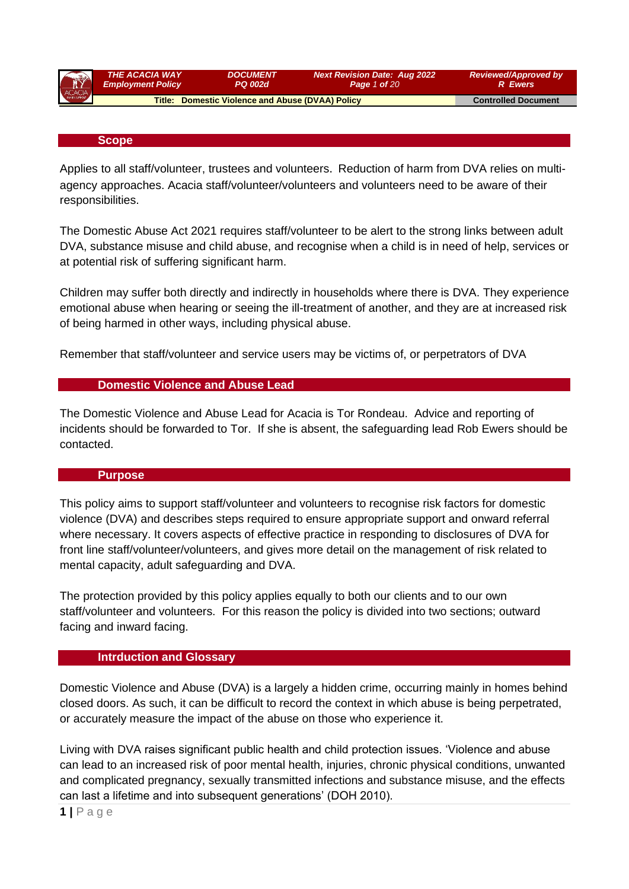| R      | <b>THE ACACIA WAY</b>    | <i><b>DOCUMENT</b></i>                                  | <b>Next Revision Date: Aug 2022</b> | <b>Reviewed/Approved by</b> |
|--------|--------------------------|---------------------------------------------------------|-------------------------------------|-----------------------------|
|        | <b>Employment Policy</b> | <b>PQ 002d</b>                                          | <b>Page 1 of 20</b>                 | <b>R</b> Ewers              |
| ACACIA |                          | <b>Title: Domestic Violence and Abuse (DVAA) Policy</b> |                                     | <b>Controlled Document</b>  |

#### **Scope**

Applies to all staff/volunteer, trustees and volunteers. Reduction of harm from DVA relies on multiagency approaches. Acacia staff/volunteer/volunteers and volunteers need to be aware of their responsibilities.

The Domestic Abuse Act 2021 requires staff/volunteer to be alert to the strong links between adult DVA, substance misuse and child abuse, and recognise when a child is in need of help, services or at potential risk of suffering significant harm.

Children may suffer both directly and indirectly in households where there is DVA. They experience emotional abuse when hearing or seeing the ill-treatment of another, and they are at increased risk of being harmed in other ways, including physical abuse.

Remember that staff/volunteer and service users may be victims of, or perpetrators of DVA

#### **Domestic Violence and Abuse Lead**

The Domestic Violence and Abuse Lead for Acacia is Tor Rondeau. Advice and reporting of incidents should be forwarded to Tor. If she is absent, the safeguarding lead Rob Ewers should be contacted.

#### **Purpose**

This policy aims to support staff/volunteer and volunteers to recognise risk factors for domestic violence (DVA) and describes steps required to ensure appropriate support and onward referral where necessary. It covers aspects of effective practice in responding to disclosures of DVA for front line staff/volunteer/volunteers, and gives more detail on the management of risk related to mental capacity, adult safeguarding and DVA.

The protection provided by this policy applies equally to both our clients and to our own staff/volunteer and volunteers. For this reason the policy is divided into two sections; outward facing and inward facing.

#### **Intrduction and Glossary**

Domestic Violence and Abuse (DVA) is a largely a hidden crime, occurring mainly in homes behind closed doors. As such, it can be difficult to record the context in which abuse is being perpetrated, or accurately measure the impact of the abuse on those who experience it.

Living with DVA raises significant public health and child protection issues. 'Violence and abuse can lead to an increased risk of poor mental health, injuries, chronic physical conditions, unwanted and complicated pregnancy, sexually transmitted infections and substance misuse, and the effects can last a lifetime and into subsequent generations' (DOH 2010).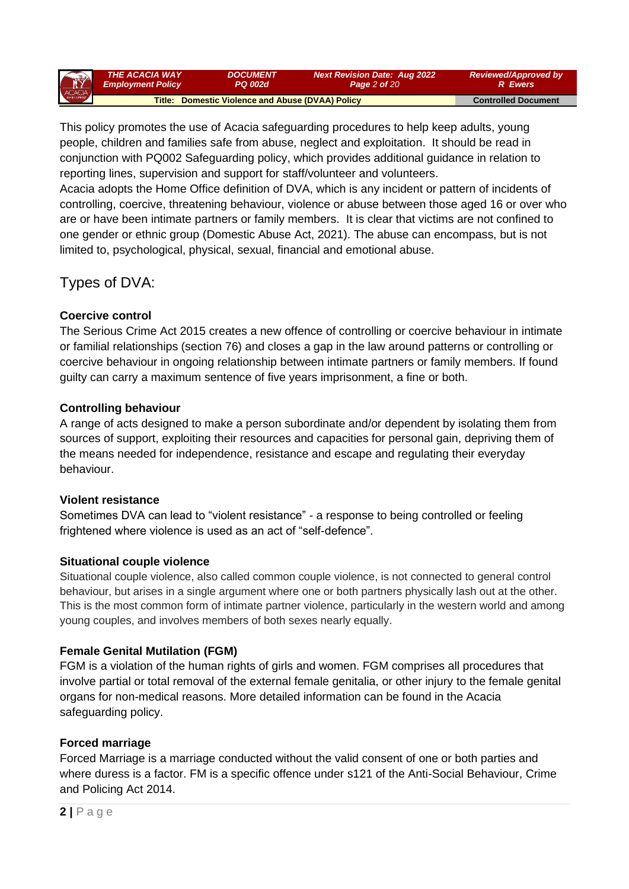| TY     | THE ACACIA WAY           | <b>DOCUMENT</b>                                  | <b>Next Revision Date: Aug 2022</b> | <b>Reviewed/Approved by</b> |
|--------|--------------------------|--------------------------------------------------|-------------------------------------|-----------------------------|
|        | <b>Employment Policy</b> | PQ 002d                                          | <b>Page 2 of 20</b>                 | R Ewers                     |
| ACACIA |                          | Title: Domestic Violence and Abuse (DVAA) Policy |                                     | <b>Controlled Document</b>  |

This policy promotes the use of Acacia safeguarding procedures to help keep adults, young people, children and families safe from abuse, neglect and exploitation. It should be read in conjunction with PQ002 Safeguarding policy, which provides additional guidance in relation to reporting lines, supervision and support for staff/volunteer and volunteers.

Acacia adopts the Home Office definition of DVA, which is any incident or pattern of incidents of controlling, coercive, threatening behaviour, violence or abuse between those aged 16 or over who are or have been intimate partners or family members. It is clear that victims are not confined to one gender or ethnic group (Domestic Abuse Act, 2021). The abuse can encompass, but is not limited to, psychological, physical, sexual, financial and emotional abuse.

# Types of DVA:

## **Coercive control**

The Serious Crime Act 2015 creates a new offence of controlling or coercive behaviour in intimate or familial relationships (section 76) and closes a gap in the law around patterns or controlling or coercive behaviour in ongoing relationship between intimate partners or family members. If found guilty can carry a maximum sentence of five years imprisonment, a fine or both.

## **Controlling behaviour**

A range of acts designed to make a person subordinate and/or dependent by isolating them from sources of support, exploiting their resources and capacities for personal gain, depriving them of the means needed for independence, resistance and escape and regulating their everyday behaviour.

## **Violent resistance**

Sometimes DVA can lead to "violent resistance" - a response to being controlled or feeling frightened where violence is used as an act of "self-defence".

## **Situational couple violence**

Situational couple violence, also called common couple violence, is not connected to general control behaviour, but arises in a single argument where one or both partners physically lash out at the other. This is the most common form of intimate partner violence, particularly in the western world and among young couples, and involves members of both sexes nearly equally.

## **Female Genital Mutilation (FGM)**

FGM is a violation of the human rights of girls and women. FGM comprises all procedures that involve partial or total removal of the external female genitalia, or other injury to the female genital organs for non-medical reasons. More detailed information can be found in the Acacia safeguarding policy.

## **Forced marriage**

Forced Marriage is a marriage conducted without the valid consent of one or both parties and where duress is a factor. FM is a specific offence under s121 of the Anti-Social Behaviour, Crime and Policing Act 2014.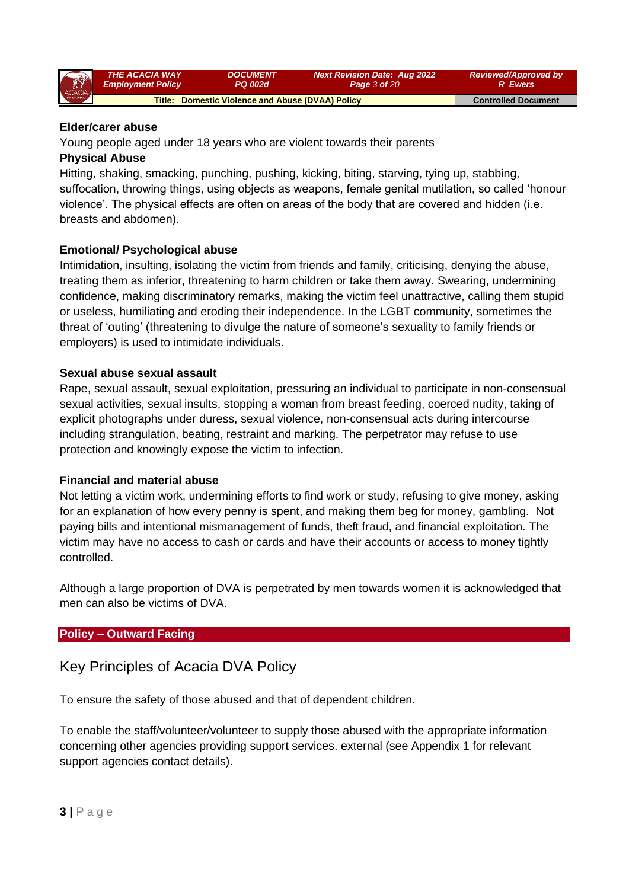| <b>AY</b> | <b>THE ACACIA WAY</b>    | <i><b>DOCUMENT</b></i>                           | <b>Next Revision Date: Aug 2022</b> | <b>Reviewed/Approved by</b> |
|-----------|--------------------------|--------------------------------------------------|-------------------------------------|-----------------------------|
|           | <b>Employment Policy</b> | <b>PQ 002d</b>                                   | <b>Page 3 of 20</b>                 | <b>R</b> Ewers              |
| ACACIA    |                          | Title: Domestic Violence and Abuse (DVAA) Policy |                                     | <b>Controlled Document</b>  |

#### **Elder/carer abuse**

Young people aged under 18 years who are violent towards their parents

#### **Physical Abuse**

Hitting, shaking, smacking, punching, pushing, kicking, biting, starving, tying up, stabbing, suffocation, throwing things, using objects as weapons, female genital mutilation, so called 'honour violence'. The physical effects are often on areas of the body that are covered and hidden (i.e. breasts and abdomen).

### **Emotional/ Psychological abuse**

Intimidation, insulting, isolating the victim from friends and family, criticising, denying the abuse, treating them as inferior, threatening to harm children or take them away. Swearing, undermining confidence, making discriminatory remarks, making the victim feel unattractive, calling them stupid or useless, humiliating and eroding their independence. In the LGBT community, sometimes the threat of 'outing' (threatening to divulge the nature of someone's sexuality to family friends or employers) is used to intimidate individuals.

### **Sexual abuse sexual assault**

Rape, sexual assault, sexual exploitation, pressuring an individual to participate in non-consensual sexual activities, sexual insults, stopping a woman from breast feeding, coerced nudity, taking of explicit photographs under duress, sexual violence, non-consensual acts during intercourse including strangulation, beating, restraint and marking. The perpetrator may refuse to use protection and knowingly expose the victim to infection.

#### **Financial and material abuse**

Not letting a victim work, undermining efforts to find work or study, refusing to give money, asking for an explanation of how every penny is spent, and making them beg for money, gambling. Not paying bills and intentional mismanagement of funds, theft fraud, and financial exploitation. The victim may have no access to cash or cards and have their accounts or access to money tightly controlled.

Although a large proportion of DVA is perpetrated by men towards women it is acknowledged that men can also be victims of DVA.

## **Policy – Outward Facing**

## Key Principles of Acacia DVA Policy

To ensure the safety of those abused and that of dependent children.

To enable the staff/volunteer/volunteer to supply those abused with the appropriate information concerning other agencies providing support services. external (see Appendix 1 for relevant support agencies contact details).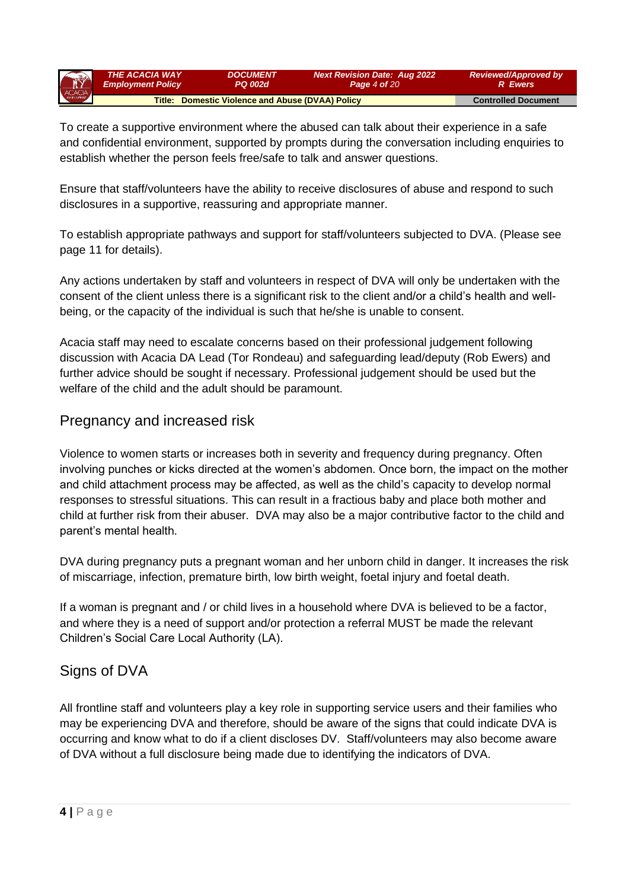| R      | <b>THE ACACIA WAY</b>    | <i><b>DOCUMENT</b></i>                           | <b>Next Revision Date: Aug 2022</b> | <b>Reviewed/Approved by</b> |
|--------|--------------------------|--------------------------------------------------|-------------------------------------|-----------------------------|
|        | <b>Employment Policy</b> | <b>PQ 002d</b>                                   | <b>Page 4 of 20</b>                 | <b>R</b> Ewers              |
| ACACIA |                          | Title: Domestic Violence and Abuse (DVAA) Policy |                                     | <b>Controlled Document</b>  |

To create a supportive environment where the abused can talk about their experience in a safe and confidential environment, supported by prompts during the conversation including enquiries to establish whether the person feels free/safe to talk and answer questions.

Ensure that staff/volunteers have the ability to receive disclosures of abuse and respond to such disclosures in a supportive, reassuring and appropriate manner.

To establish appropriate pathways and support for staff/volunteers subjected to DVA. (Please see page 11 for details).

Any actions undertaken by staff and volunteers in respect of DVA will only be undertaken with the consent of the client unless there is a significant risk to the client and/or a child's health and wellbeing, or the capacity of the individual is such that he/she is unable to consent.

Acacia staff may need to escalate concerns based on their professional judgement following discussion with Acacia DA Lead (Tor Rondeau) and safeguarding lead/deputy (Rob Ewers) and further advice should be sought if necessary. Professional judgement should be used but the welfare of the child and the adult should be paramount.

# Pregnancy and increased risk

Violence to women starts or increases both in severity and frequency during pregnancy. Often involving punches or kicks directed at the women's abdomen. Once born, the impact on the mother and child attachment process may be affected, as well as the child's capacity to develop normal responses to stressful situations. This can result in a fractious baby and place both mother and child at further risk from their abuser. DVA may also be a major contributive factor to the child and parent's mental health.

DVA during pregnancy puts a pregnant woman and her unborn child in danger. It increases the risk of miscarriage, infection, premature birth, low birth weight, foetal injury and foetal death.

If a woman is pregnant and / or child lives in a household where DVA is believed to be a factor, and where they is a need of support and/or protection a referral MUST be made the relevant Children's Social Care Local Authority (LA).

# Signs of DVA

All frontline staff and volunteers play a key role in supporting service users and their families who may be experiencing DVA and therefore, should be aware of the signs that could indicate DVA is occurring and know what to do if a client discloses DV. Staff/volunteers may also become aware of DVA without a full disclosure being made due to identifying the indicators of DVA.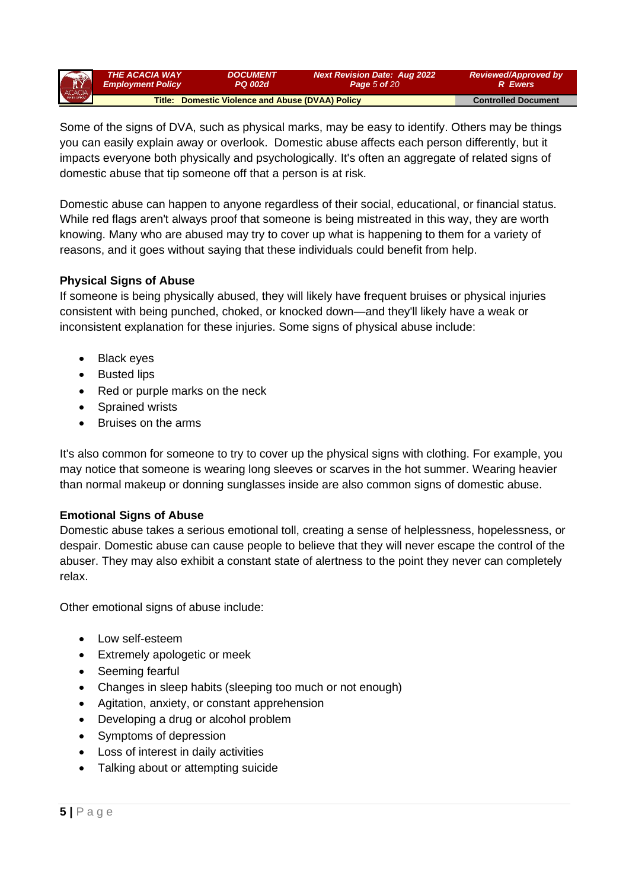| R      | <b>THE ACACIA WAY</b>    | <i><b>DOCUMENT</b></i>                           | <b>Next Revision Date: Aug 2022</b> | <b>Reviewed/Approved by</b> |
|--------|--------------------------|--------------------------------------------------|-------------------------------------|-----------------------------|
|        | <b>Employment Policy</b> | PQ 002d                                          | <b>Page 5 of 20</b>                 | <b>R</b> Ewers              |
| ACACIA |                          | Title: Domestic Violence and Abuse (DVAA) Policy |                                     | <b>Controlled Document</b>  |

Some of the signs of DVA, such as physical marks, may be easy to identify. Others may be things you can easily explain away or overlook. Domestic abuse affects each person differently, but it impacts everyone both physically and psychologically. It's often an aggregate of related signs of domestic abuse that tip someone off that a person is at risk.

Domestic abuse can happen to anyone regardless of their social, educational, or financial status. While red flags aren't always proof that someone is being mistreated in this way, they are worth knowing. Many who are abused may try to cover up what is happening to them for a variety of reasons, and it goes without saying that these individuals could benefit from help.

### **Physical Signs of Abuse**

If someone is being physically abused, they will likely have frequent bruises or physical injuries consistent with being punched, choked, or knocked down—and they'll likely have a weak or inconsistent explanation for these injuries. Some signs of physical abuse include:

- Black eyes
- Busted lips
- Red or purple marks on the neck
- Sprained wrists
- Bruises on the arms

It's also common for someone to try to cover up the physical signs with clothing. For example, you may notice that someone is wearing long sleeves or scarves in the hot summer. Wearing heavier than normal makeup or donning sunglasses inside are also common signs of domestic abuse.

#### **Emotional Signs of Abuse**

Domestic abuse takes a serious emotional toll, creating a sense of helplessness, hopelessness, or despair. Domestic abuse can cause people to believe that they will never escape the control of the abuser. They may also exhibit a constant state of alertness to the point they never can completely relax.

Other emotional signs of abuse include:

- Low self-esteem
- Extremely apologetic or meek
- Seeming fearful
- Changes in sleep habits (sleeping too much or not enough)
- Agitation, anxiety, or constant apprehension
- Developing a drug or alcohol problem
- Symptoms of depression
- Loss of interest in daily activities
- Talking about or attempting suicide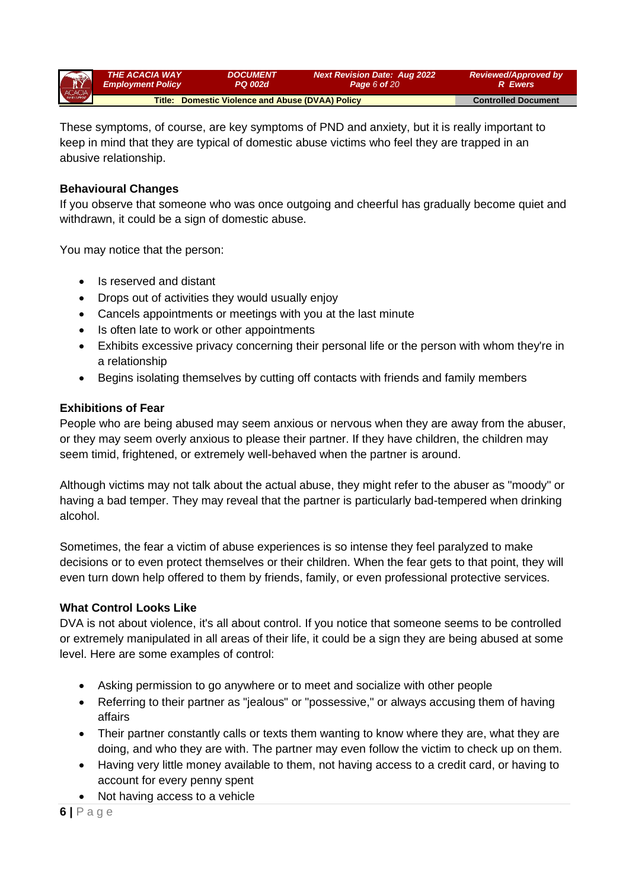| THE ACACIA WAY<br>Employment Policy<br>Title: D | <b>DOCUMENT</b><br><b>PQ 002d</b>                | <b>Next Revision Date: Aug 2022</b><br><b>Page 6 of 20</b> | <b>Reviewed/Approved by</b><br><b>R</b> Ewers |
|-------------------------------------------------|--------------------------------------------------|------------------------------------------------------------|-----------------------------------------------|
|                                                 | Title: Domestic Violence and Abuse (DVAA) Policy |                                                            | <b>Controlled Document</b>                    |

These symptoms, of course, are key symptoms of PND and anxiety, but it is really important to keep in mind that they are typical of domestic abuse victims who feel they are trapped in an abusive relationship.

### **Behavioural Changes**

If you observe that someone who was once outgoing and cheerful has gradually become quiet and withdrawn, it could be a sign of domestic abuse.

You may notice that the person:

- Is reserved and distant
- Drops out of activities they would usually enjoy
- Cancels appointments or meetings with you at the last minute
- Is often late to work or other appointments
- Exhibits excessive privacy concerning their personal life or the person with whom they're in a relationship
- Begins isolating themselves by cutting off contacts with friends and family members

#### **Exhibitions of Fear**

People who are being abused may seem anxious or nervous when they are away from the abuser, or they may seem overly anxious to please their partner. If they have children, the children may seem timid, frightened, or extremely well-behaved when the partner is around.

Although victims may not talk about the actual abuse, they might refer to the abuser as "moody" or having a bad temper. They may reveal that the partner is particularly bad-tempered when drinking alcohol.

Sometimes, the fear a victim of abuse experiences is so intense they feel paralyzed to make decisions or to even protect themselves or their children. When the fear gets to that point, they will even turn down help offered to them by friends, family, or even professional protective services.

#### **What Control Looks Like**

DVA is not about violence, it's all about control. If you notice that someone seems to be controlled or extremely manipulated in all areas of their life, it could be a sign they are being abused at some level. Here are some examples of control:

- Asking permission to go anywhere or to meet and socialize with other people
- Referring to their partner as "jealous" or "possessive," or always accusing them of having affairs
- Their partner constantly calls or texts them wanting to know where they are, what they are doing, and who they are with. The partner may even follow the victim to check up on them.
- Having very little money available to them, not having access to a credit card, or having to account for every penny spent
- Not having access to a vehicle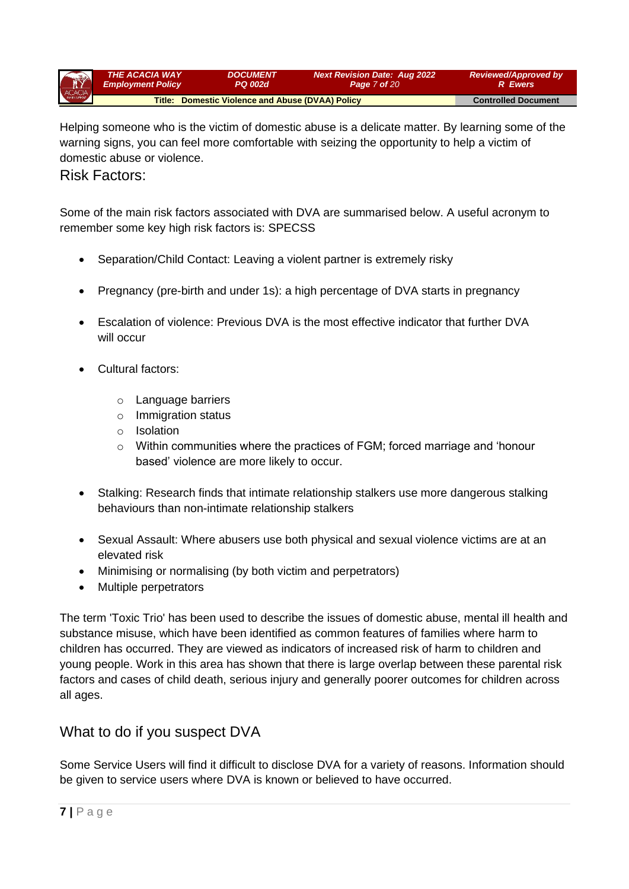| $\bigcap$ | <b>THE ACACIA WAY</b>    | <i><b>DOCUMENT</b></i>                           | <b>Next Revision Date: Aug 2022</b> | <b>Reviewed/Approved by</b> |
|-----------|--------------------------|--------------------------------------------------|-------------------------------------|-----------------------------|
|           | <b>Employment Policy</b> | PQ 002d                                          | <b>Page 7 of 20</b>                 | <b>R</b> Ewers              |
| ACACIA    |                          | Title: Domestic Violence and Abuse (DVAA) Policy |                                     | <b>Controlled Document</b>  |

Helping someone who is the victim of domestic abuse is a delicate matter. By learning some of the warning signs, you can feel more comfortable with seizing the opportunity to help a victim of domestic abuse or violence.

## Risk Factors:

Some of the main risk factors associated with DVA are summarised below. A useful acronym to remember some key high risk factors is: SPECSS

- Separation/Child Contact: Leaving a violent partner is extremely risky
- Pregnancy (pre-birth and under 1s): a high percentage of DVA starts in pregnancy
- Escalation of violence: Previous DVA is the most effective indicator that further DVA will occur
- Cultural factors:
	- o Language barriers
	- o Immigration status
	- o Isolation
	- $\circ$  Within communities where the practices of FGM; forced marriage and 'honour based' violence are more likely to occur.
- Stalking: Research finds that intimate relationship stalkers use more dangerous stalking behaviours than non-intimate relationship stalkers
- Sexual Assault: Where abusers use both physical and sexual violence victims are at an elevated risk
- Minimising or normalising (by both victim and perpetrators)
- Multiple perpetrators

The term 'Toxic Trio' has been used to describe the issues of domestic abuse, mental ill health and substance misuse, which have been identified as common features of families where harm to children has occurred. They are viewed as indicators of increased risk of harm to children and young people. Work in this area has shown that there is large overlap between these parental risk factors and cases of child death, serious injury and generally poorer outcomes for children across all ages.

## What to do if you suspect DVA

Some Service Users will find it difficult to disclose DVA for a variety of reasons. Information should be given to service users where DVA is known or believed to have occurred.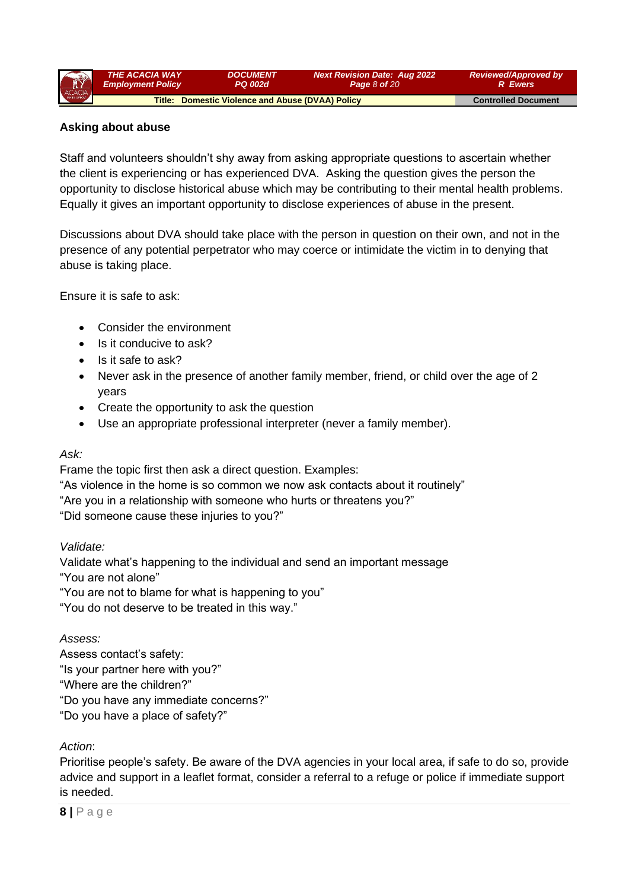| R      | <b>THE ACACIA WAY</b>    | <b>DOCUMENT</b>                                  | <b>Next Revision Date: Aug 2022</b> | <b>Reviewed/Approved by</b> |
|--------|--------------------------|--------------------------------------------------|-------------------------------------|-----------------------------|
|        | <b>Employment Policy</b> | <b>PQ 002d</b>                                   | <b>Page 8 of 20</b>                 | <b>R</b> Ewers              |
| ACACIA |                          | Title: Domestic Violence and Abuse (DVAA) Policy |                                     | <b>Controlled Document</b>  |

### **Asking about abuse**

Staff and volunteers shouldn't shy away from asking appropriate questions to ascertain whether the client is experiencing or has experienced DVA. Asking the question gives the person the opportunity to disclose historical abuse which may be contributing to their mental health problems. Equally it gives an important opportunity to disclose experiences of abuse in the present.

Discussions about DVA should take place with the person in question on their own, and not in the presence of any potential perpetrator who may coerce or intimidate the victim in to denying that abuse is taking place.

Ensure it is safe to ask:

- Consider the environment
- Is it conducive to ask?
- Is it safe to ask?
- Never ask in the presence of another family member, friend, or child over the age of 2 years
- Create the opportunity to ask the question
- Use an appropriate professional interpreter (never a family member).

#### *Ask:*

Frame the topic first then ask a direct question. Examples:

"As violence in the home is so common we now ask contacts about it routinely" "Are you in a relationship with someone who hurts or threatens you?" "Did someone cause these injuries to you?"

#### *Validate:*

Validate what's happening to the individual and send an important message "You are not alone"

"You are not to blame for what is happening to you"

"You do not deserve to be treated in this way."

#### *Assess:*

Assess contact's safety: "Is your partner here with you?" "Where are the children?" "Do you have any immediate concerns?" "Do you have a place of safety?"

## *Action*:

Prioritise people's safety. Be aware of the DVA agencies in your local area, if safe to do so, provide advice and support in a leaflet format, consider a referral to a refuge or police if immediate support is needed.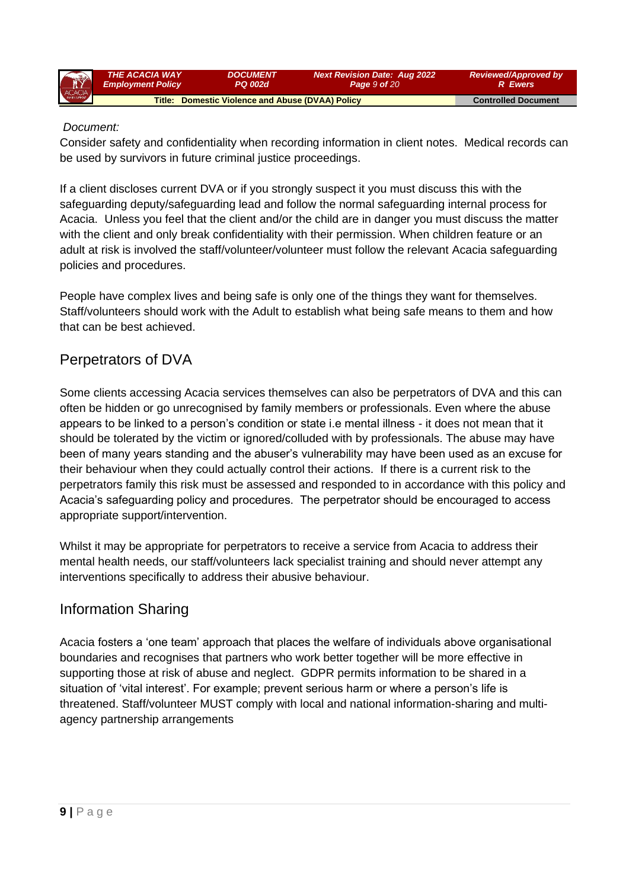| R      | <b>THE ACACIA WAY</b>    | <i><b>DOCUMENT</b></i>                           | <b>Next Revision Date: Aug 2022</b> | <b>Reviewed/Approved by</b> |
|--------|--------------------------|--------------------------------------------------|-------------------------------------|-----------------------------|
|        | <b>Employment Policy</b> | 'PQ 002d                                         | Page 9 of 20                        | <b>R</b> Ewers              |
| ACACIA |                          | Title: Domestic Violence and Abuse (DVAA) Policy |                                     | <b>Controlled Document</b>  |

### *Document:*

Consider safety and confidentiality when recording information in client notes. Medical records can be used by survivors in future criminal justice proceedings.

If a client discloses current DVA or if you strongly suspect it you must discuss this with the safeguarding deputy/safeguarding lead and follow the normal safeguarding internal process for Acacia. Unless you feel that the client and/or the child are in danger you must discuss the matter with the client and only break confidentiality with their permission. When children feature or an adult at risk is involved the staff/volunteer/volunteer must follow the relevant Acacia safeguarding policies and procedures.

People have complex lives and being safe is only one of the things they want for themselves. Staff/volunteers should work with the Adult to establish what being safe means to them and how that can be best achieved.

# Perpetrators of DVA

Some clients accessing Acacia services themselves can also be perpetrators of DVA and this can often be hidden or go unrecognised by family members or professionals. Even where the abuse appears to be linked to a person's condition or state i.e mental illness - it does not mean that it should be tolerated by the victim or ignored/colluded with by professionals. The abuse may have been of many years standing and the abuser's vulnerability may have been used as an excuse for their behaviour when they could actually control their actions. If there is a current risk to the perpetrators family this risk must be assessed and responded to in accordance with this policy and Acacia's safeguarding policy and procedures. The perpetrator should be encouraged to access appropriate support/intervention.

Whilst it may be appropriate for perpetrators to receive a service from Acacia to address their mental health needs, our staff/volunteers lack specialist training and should never attempt any interventions specifically to address their abusive behaviour.

# Information Sharing

Acacia fosters a 'one team' approach that places the welfare of individuals above organisational boundaries and recognises that partners who work better together will be more effective in supporting those at risk of abuse and neglect. GDPR permits information to be shared in a situation of 'vital interest'. For example; prevent serious harm or where a person's life is threatened. Staff/volunteer MUST comply with local and national information-sharing and multiagency partnership arrangements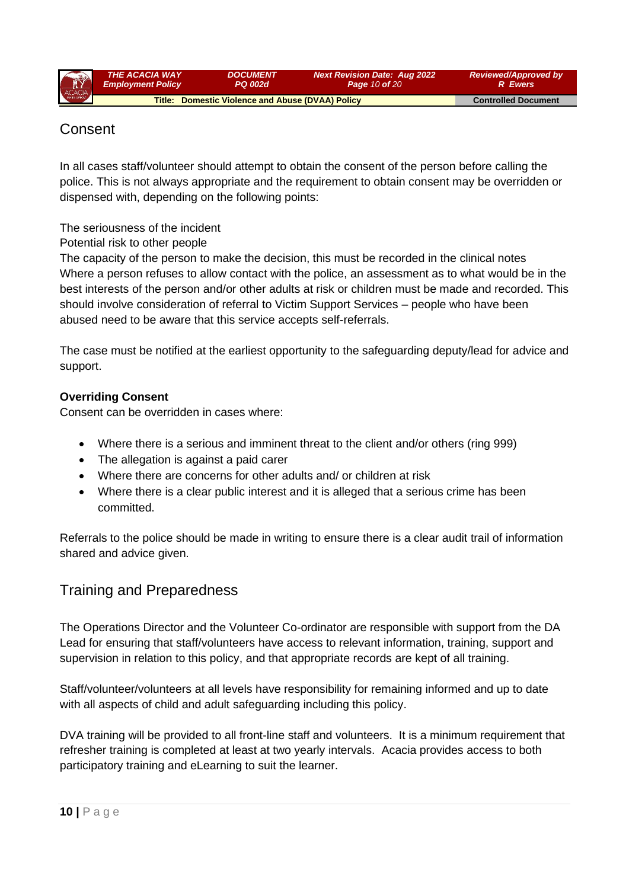| R      | <b>THE ACACIA WAY</b>    | <i><b>DOCUMENT</b></i>                           | <b>Next Revision Date: Aug 2022</b> | <b>Reviewed/Approved by</b> |
|--------|--------------------------|--------------------------------------------------|-------------------------------------|-----------------------------|
|        | <b>Employment Policy</b> | <b>PQ 002d</b>                                   | <b>Page 10 of 20</b>                | <b>R</b> Ewers              |
| ACACIA |                          | Title: Domestic Violence and Abuse (DVAA) Policy |                                     | <b>Controlled Document</b>  |

# **Consent**

In all cases staff/volunteer should attempt to obtain the consent of the person before calling the police. This is not always appropriate and the requirement to obtain consent may be overridden or dispensed with, depending on the following points:

The seriousness of the incident

Potential risk to other people

The capacity of the person to make the decision, this must be recorded in the clinical notes Where a person refuses to allow contact with the police, an assessment as to what would be in the best interests of the person and/or other adults at risk or children must be made and recorded. This should involve consideration of referral to Victim Support Services – people who have been abused need to be aware that this service accepts self-referrals.

The case must be notified at the earliest opportunity to the safeguarding deputy/lead for advice and support.

## **Overriding Consent**

Consent can be overridden in cases where:

- Where there is a serious and imminent threat to the client and/or others (ring 999)
- The allegation is against a paid carer
- Where there are concerns for other adults and/ or children at risk
- Where there is a clear public interest and it is alleged that a serious crime has been committed.

Referrals to the police should be made in writing to ensure there is a clear audit trail of information shared and advice given.

## Training and Preparedness

The Operations Director and the Volunteer Co-ordinator are responsible with support from the DA Lead for ensuring that staff/volunteers have access to relevant information, training, support and supervision in relation to this policy, and that appropriate records are kept of all training.

Staff/volunteer/volunteers at all levels have responsibility for remaining informed and up to date with all aspects of child and adult safeguarding including this policy.

DVA training will be provided to all front-line staff and volunteers. It is a minimum requirement that refresher training is completed at least at two yearly intervals. Acacia provides access to both participatory training and eLearning to suit the learner.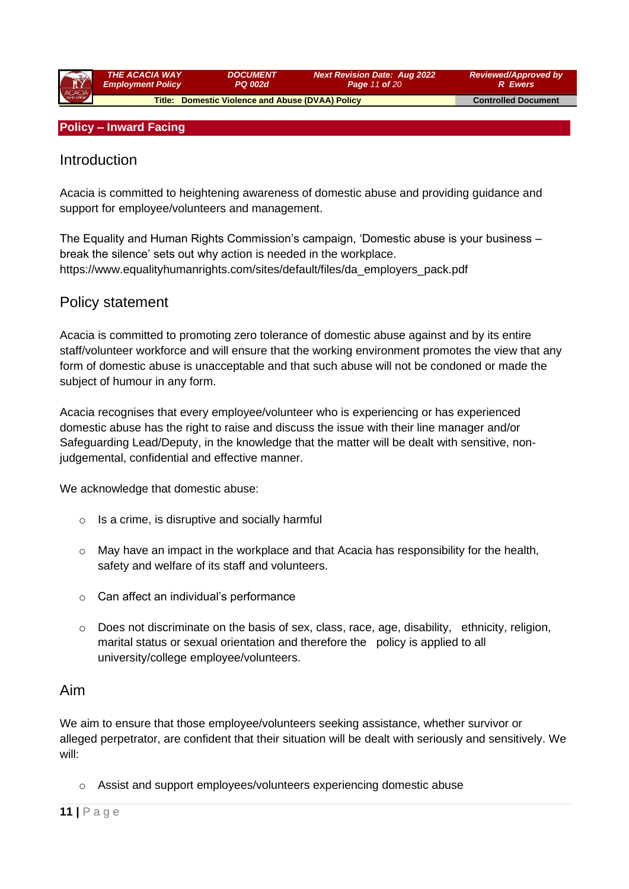| ACACIA | <b>THE ACACIA WAY</b><br><b>Employment Policy</b> | <b>DOCUMENT</b><br><b>PQ 002d</b>                | <b>Next Revision Date: Aug 2022</b><br>Page 11 of 20 | <b>Reviewed/Approved by</b><br><b>R</b> Ewers |
|--------|---------------------------------------------------|--------------------------------------------------|------------------------------------------------------|-----------------------------------------------|
|        |                                                   |                                                  |                                                      |                                               |
|        |                                                   | Title: Domestic Violence and Abuse (DVAA) Policy |                                                      | <b>Controlled Document</b>                    |

#### **Policy – Inward Facing**

## Introduction

Acacia is committed to heightening awareness of domestic abuse and providing guidance and support for employee/volunteers and management.

The Equality and Human Rights Commission's campaign, 'Domestic abuse is your business – break the silence' sets out why action is needed in the workplace. https://www.equalityhumanrights.com/sites/default/files/da\_employers\_pack.pdf

## Policy statement

Acacia is committed to promoting zero tolerance of domestic abuse against and by its entire staff/volunteer workforce and will ensure that the working environment promotes the view that any form of domestic abuse is unacceptable and that such abuse will not be condoned or made the subject of humour in any form.

Acacia recognises that every employee/volunteer who is experiencing or has experienced domestic abuse has the right to raise and discuss the issue with their line manager and/or Safeguarding Lead/Deputy, in the knowledge that the matter will be dealt with sensitive, nonjudgemental, confidential and effective manner.

We acknowledge that domestic abuse:

- $\circ$  Is a crime, is disruptive and socially harmful
- $\circ$  May have an impact in the workplace and that Acacia has responsibility for the health, safety and welfare of its staff and volunteers.
- o Can affect an individual's performance
- $\circ$  Does not discriminate on the basis of sex, class, race, age, disability, ethnicity, religion, marital status or sexual orientation and therefore the policy is applied to all university/college employee/volunteers.

## Aim

We aim to ensure that those employee/volunteers seeking assistance, whether survivor or alleged perpetrator, are confident that their situation will be dealt with seriously and sensitively. We will:

o Assist and support employees/volunteers experiencing domestic abuse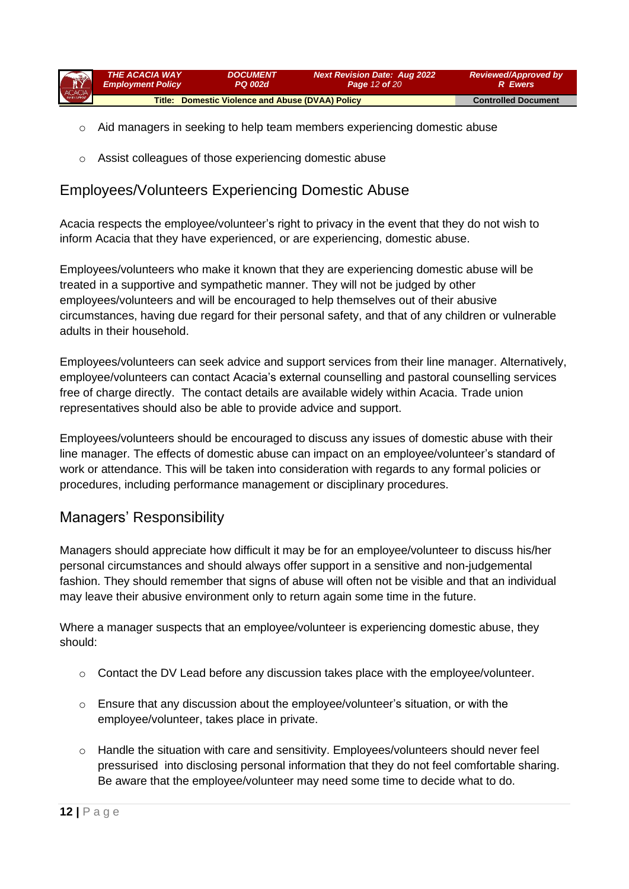| ACACIA | <b>THE ACACIA WAY</b>    | <i><b>DOCUMENT</b></i>                           | <b>Next Revision Date: Aug 2022</b> | <b>Reviewed/Approved by</b> |
|--------|--------------------------|--------------------------------------------------|-------------------------------------|-----------------------------|
|        | <b>Employment Policy</b> | <b>PQ 002d</b>                                   | <b>Page 12 of 20</b>                | <b>R</b> Ewers              |
|        |                          | Title: Domestic Violence and Abuse (DVAA) Policy |                                     | <b>Controlled Document</b>  |

- o Aid managers in seeking to help team members experiencing domestic abuse
- o Assist colleagues of those experiencing domestic abuse

# Employees/Volunteers Experiencing Domestic Abuse

Acacia respects the employee/volunteer's right to privacy in the event that they do not wish to inform Acacia that they have experienced, or are experiencing, domestic abuse.

Employees/volunteers who make it known that they are experiencing domestic abuse will be treated in a supportive and sympathetic manner. They will not be judged by other employees/volunteers and will be encouraged to help themselves out of their abusive circumstances, having due regard for their personal safety, and that of any children or vulnerable adults in their household.

Employees/volunteers can seek advice and support services from their line manager. Alternatively, employee/volunteers can contact Acacia's external counselling and pastoral counselling services free of charge directly. The contact details are available widely within Acacia. Trade union representatives should also be able to provide advice and support.

Employees/volunteers should be encouraged to discuss any issues of domestic abuse with their line manager. The effects of domestic abuse can impact on an employee/volunteer's standard of work or attendance. This will be taken into consideration with regards to any formal policies or procedures, including performance management or disciplinary procedures.

# Managers' Responsibility

Managers should appreciate how difficult it may be for an employee/volunteer to discuss his/her personal circumstances and should always offer support in a sensitive and non-judgemental fashion. They should remember that signs of abuse will often not be visible and that an individual may leave their abusive environment only to return again some time in the future.

Where a manager suspects that an employee/volunteer is experiencing domestic abuse, they should:

- o Contact the DV Lead before any discussion takes place with the employee/volunteer.
- o Ensure that any discussion about the employee/volunteer's situation, or with the employee/volunteer, takes place in private.
- o Handle the situation with care and sensitivity. Employees/volunteers should never feel pressurised into disclosing personal information that they do not feel comfortable sharing. Be aware that the employee/volunteer may need some time to decide what to do.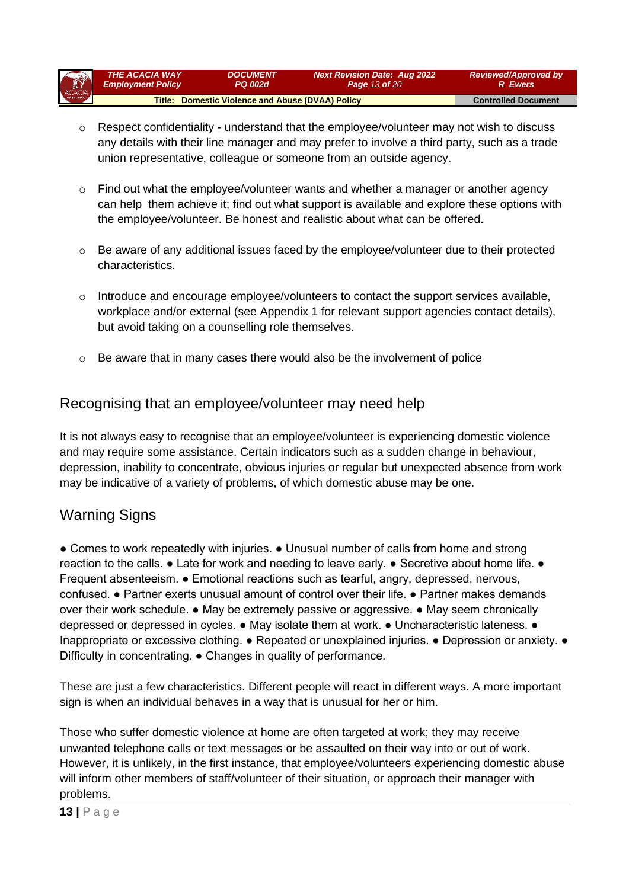| R      | THE ACACIA WAY                                          | <b>DOCUMENT</b>            | <b>Next Revision Date: Aug 2022</b> | <b>Reviewed/Approved by</b> |
|--------|---------------------------------------------------------|----------------------------|-------------------------------------|-----------------------------|
|        | <b>Employment Policy</b>                                | PQ 002d                    | <b>Page 13 of 20</b>                | <b>R</b> Ewers              |
| ACACIA | <b>Title: Domestic Violence and Abuse (DVAA) Policy</b> | <b>Controlled Document</b> |                                     |                             |

- $\circ$  Respect confidentiality understand that the employee/volunteer may not wish to discuss any details with their line manager and may prefer to involve a third party, such as a trade union representative, colleague or someone from an outside agency.
- $\circ$  Find out what the employee/volunteer wants and whether a manager or another agency can help them achieve it; find out what support is available and explore these options with the employee/volunteer. Be honest and realistic about what can be offered.
- $\circ$  Be aware of any additional issues faced by the employee/volunteer due to their protected characteristics.
- $\circ$  Introduce and encourage employee/volunteers to contact the support services available. workplace and/or external (see Appendix 1 for relevant support agencies contact details), but avoid taking on a counselling role themselves.
- $\circ$  Be aware that in many cases there would also be the involvement of police

# Recognising that an employee/volunteer may need help

It is not always easy to recognise that an employee/volunteer is experiencing domestic violence and may require some assistance. Certain indicators such as a sudden change in behaviour, depression, inability to concentrate, obvious injuries or regular but unexpected absence from work may be indicative of a variety of problems, of which domestic abuse may be one.

## Warning Signs

● Comes to work repeatedly with injuries. ● Unusual number of calls from home and strong reaction to the calls.  $\bullet$  Late for work and needing to leave early.  $\bullet$  Secretive about home life.  $\bullet$ Frequent absenteeism. ● Emotional reactions such as tearful, angry, depressed, nervous, confused. ● Partner exerts unusual amount of control over their life. ● Partner makes demands over their work schedule. ● May be extremely passive or aggressive. ● May seem chronically depressed or depressed in cycles. ● May isolate them at work. ● Uncharacteristic lateness. ● Inappropriate or excessive clothing. ● Repeated or unexplained injuries. ● Depression or anxiety. ● Difficulty in concentrating. ● Changes in quality of performance.

These are just a few characteristics. Different people will react in different ways. A more important sign is when an individual behaves in a way that is unusual for her or him.

Those who suffer domestic violence at home are often targeted at work; they may receive unwanted telephone calls or text messages or be assaulted on their way into or out of work. However, it is unlikely, in the first instance, that employee/volunteers experiencing domestic abuse will inform other members of staff/volunteer of their situation, or approach their manager with problems.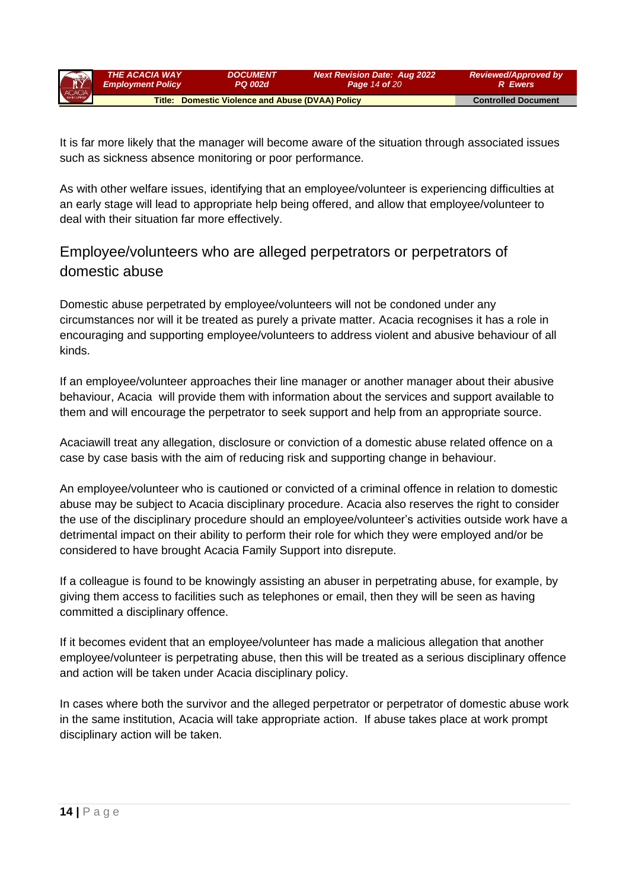| $\mathbf{R}$ | <b>THE ACACIA WAY</b>                            | <i><b>DOCUMENT</b></i>     | <b>Next Revision Date: Aug 2022</b> | <b>Reviewed/Approved by</b> |
|--------------|--------------------------------------------------|----------------------------|-------------------------------------|-----------------------------|
|              | <b>Employment Policy</b>                         | <b>PQ 002d</b>             | <b>Page 14 of 20</b>                | <b>R</b> Ewers              |
| ACACIA       | Title: Domestic Violence and Abuse (DVAA) Policy | <b>Controlled Document</b> |                                     |                             |

It is far more likely that the manager will become aware of the situation through associated issues such as sickness absence monitoring or poor performance.

As with other welfare issues, identifying that an employee/volunteer is experiencing difficulties at an early stage will lead to appropriate help being offered, and allow that employee/volunteer to deal with their situation far more effectively.

# Employee/volunteers who are alleged perpetrators or perpetrators of domestic abuse

Domestic abuse perpetrated by employee/volunteers will not be condoned under any circumstances nor will it be treated as purely a private matter. Acacia recognises it has a role in encouraging and supporting employee/volunteers to address violent and abusive behaviour of all kinds.

If an employee/volunteer approaches their line manager or another manager about their abusive behaviour, Acacia will provide them with information about the services and support available to them and will encourage the perpetrator to seek support and help from an appropriate source.

Acaciawill treat any allegation, disclosure or conviction of a domestic abuse related offence on a case by case basis with the aim of reducing risk and supporting change in behaviour.

An employee/volunteer who is cautioned or convicted of a criminal offence in relation to domestic abuse may be subject to Acacia disciplinary procedure. Acacia also reserves the right to consider the use of the disciplinary procedure should an employee/volunteer's activities outside work have a detrimental impact on their ability to perform their role for which they were employed and/or be considered to have brought Acacia Family Support into disrepute.

If a colleague is found to be knowingly assisting an abuser in perpetrating abuse, for example, by giving them access to facilities such as telephones or email, then they will be seen as having committed a disciplinary offence.

If it becomes evident that an employee/volunteer has made a malicious allegation that another employee/volunteer is perpetrating abuse, then this will be treated as a serious disciplinary offence and action will be taken under Acacia disciplinary policy.

In cases where both the survivor and the alleged perpetrator or perpetrator of domestic abuse work in the same institution, Acacia will take appropriate action. If abuse takes place at work prompt disciplinary action will be taken.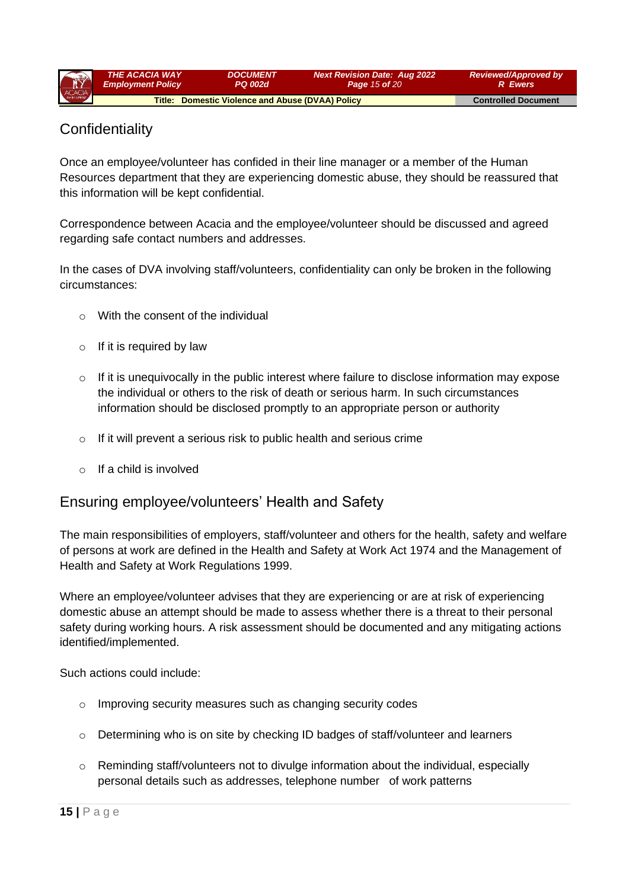| <b>AY</b> | <b>THE ACACIA WAY</b>                            | <i><b>DOCUMENT</b></i>     | <b>Next Revision Date: Aug 2022</b> | <b>Reviewed/Approved by</b> |
|-----------|--------------------------------------------------|----------------------------|-------------------------------------|-----------------------------|
|           | <b>Employment Policy</b>                         | <b>PQ 002d</b>             | <b>Page 15 of 20</b>                | <b>R</b> Ewers              |
| ACACIA    | Title: Domestic Violence and Abuse (DVAA) Policy | <b>Controlled Document</b> |                                     |                             |

# **Confidentiality**

Once an employee/volunteer has confided in their line manager or a member of the Human Resources department that they are experiencing domestic abuse, they should be reassured that this information will be kept confidential.

Correspondence between Acacia and the employee/volunteer should be discussed and agreed regarding safe contact numbers and addresses.

In the cases of DVA involving staff/volunteers, confidentiality can only be broken in the following circumstances:

- o With the consent of the individual
- $\circ$  If it is required by law
- $\circ$  If it is unequivocally in the public interest where failure to disclose information may expose the individual or others to the risk of death or serious harm. In such circumstances information should be disclosed promptly to an appropriate person or authority
- $\circ$  If it will prevent a serious risk to public health and serious crime
- $\circ$  If a child is involved

## Ensuring employee/volunteers' Health and Safety

The main responsibilities of employers, staff/volunteer and others for the health, safety and welfare of persons at work are defined in the Health and Safety at Work Act 1974 and the Management of Health and Safety at Work Regulations 1999.

Where an employee/volunteer advises that they are experiencing or are at risk of experiencing domestic abuse an attempt should be made to assess whether there is a threat to their personal safety during working hours. A risk assessment should be documented and any mitigating actions identified/implemented.

Such actions could include:

- o Improving security measures such as changing security codes
- $\circ$  Determining who is on site by checking ID badges of staff/volunteer and learners
- $\circ$  Reminding staff/volunteers not to divulge information about the individual, especially personal details such as addresses, telephone number of work patterns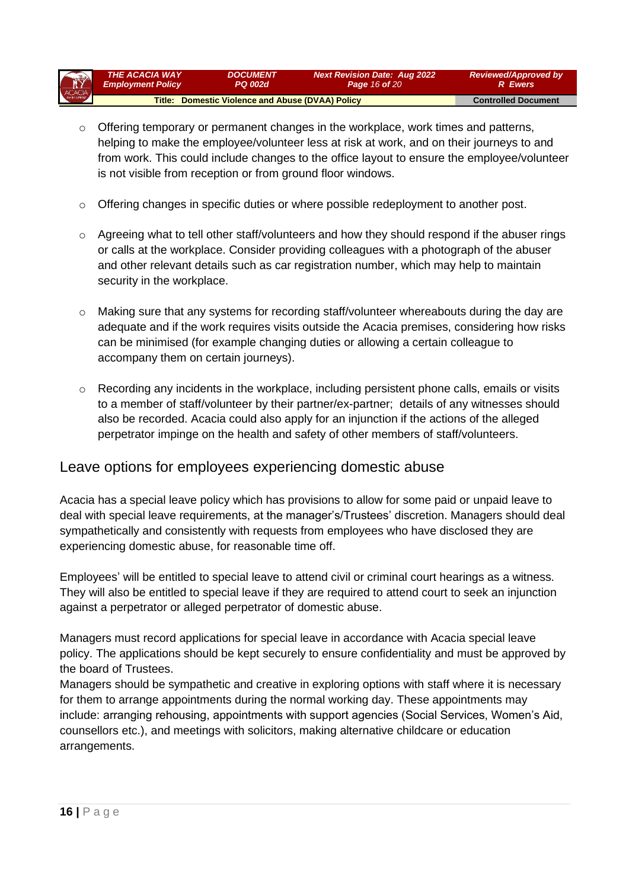| ACACIA | <b>THE ACACIA WAY</b>                            | <i><b>DOCUMENT</b></i>     | <b>Next Revision Date: Aug 2022</b> | <b>Reviewed/Approved by</b> |
|--------|--------------------------------------------------|----------------------------|-------------------------------------|-----------------------------|
|        | <b>Employment Policy</b>                         | <b>PQ 002d</b>             | <b>Page 16 of 20</b>                | <b>R</b> Ewers              |
|        | Title: Domestic Violence and Abuse (DVAA) Policy | <b>Controlled Document</b> |                                     |                             |

- $\circ$  Offering temporary or permanent changes in the workplace, work times and patterns, helping to make the employee/volunteer less at risk at work, and on their journeys to and from work. This could include changes to the office layout to ensure the employee/volunteer is not visible from reception or from ground floor windows.
- o Offering changes in specific duties or where possible redeployment to another post.
- $\circ$  Agreeing what to tell other staff/volunteers and how they should respond if the abuser rings or calls at the workplace. Consider providing colleagues with a photograph of the abuser and other relevant details such as car registration number, which may help to maintain security in the workplace.
- o Making sure that any systems for recording staff/volunteer whereabouts during the day are adequate and if the work requires visits outside the Acacia premises, considering how risks can be minimised (for example changing duties or allowing a certain colleague to accompany them on certain journeys).
- o Recording any incidents in the workplace, including persistent phone calls, emails or visits to a member of staff/volunteer by their partner/ex-partner; details of any witnesses should also be recorded. Acacia could also apply for an injunction if the actions of the alleged perpetrator impinge on the health and safety of other members of staff/volunteers.

## Leave options for employees experiencing domestic abuse

Acacia has a special leave policy which has provisions to allow for some paid or unpaid leave to deal with special leave requirements, at the manager's/Trustees' discretion. Managers should deal sympathetically and consistently with requests from employees who have disclosed they are experiencing domestic abuse, for reasonable time off.

Employees' will be entitled to special leave to attend civil or criminal court hearings as a witness. They will also be entitled to special leave if they are required to attend court to seek an injunction against a perpetrator or alleged perpetrator of domestic abuse.

Managers must record applications for special leave in accordance with Acacia special leave policy. The applications should be kept securely to ensure confidentiality and must be approved by the board of Trustees.

Managers should be sympathetic and creative in exploring options with staff where it is necessary for them to arrange appointments during the normal working day. These appointments may include: arranging rehousing, appointments with support agencies (Social Services, Women's Aid, counsellors etc.), and meetings with solicitors, making alternative childcare or education arrangements.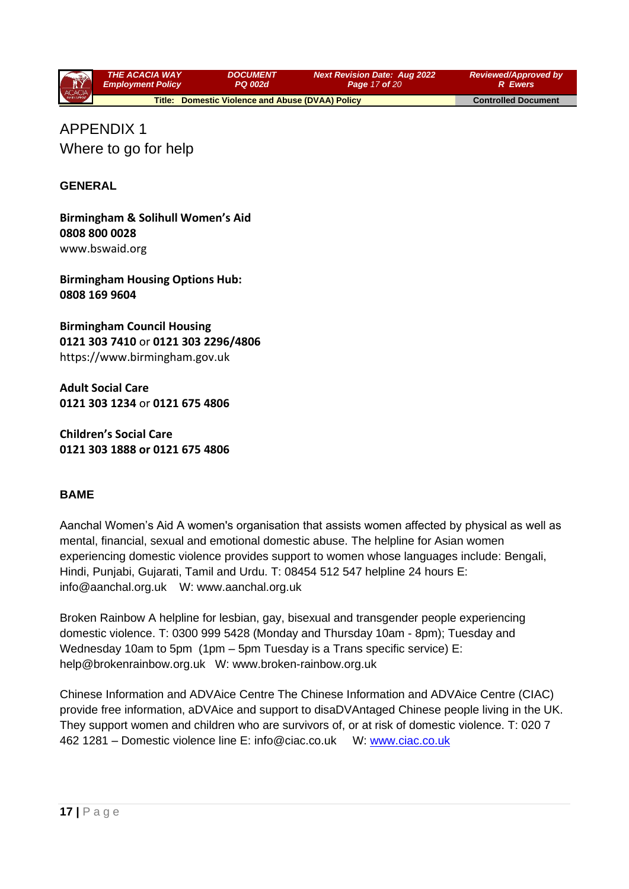

APPENDIX 1 Where to go for help

### **GENERAL**

**Birmingham & Solihull Women's Aid 0808 800 0028**  www.bswaid.org

**Birmingham Housing Options Hub: 0808 169 9604** 

**Birmingham Council Housing 0121 303 7410** or **0121 303 2296/4806**  https://www.birmingham.gov.uk

**Adult Social Care 0121 303 1234** or **0121 675 4806** 

**Children's Social Care 0121 303 1888 or 0121 675 4806**

#### **BAME**

Aanchal Women's Aid A women's organisation that assists women affected by physical as well as mental, financial, sexual and emotional domestic abuse. The helpline for Asian women experiencing domestic violence provides support to women whose languages include: Bengali, Hindi, Punjabi, Gujarati, Tamil and Urdu. T: 08454 512 547 helpline 24 hours E: info@aanchal.org.uk W: www.aanchal.org.uk

Broken Rainbow A helpline for lesbian, gay, bisexual and transgender people experiencing domestic violence. T: 0300 999 5428 (Monday and Thursday 10am - 8pm); Tuesday and Wednesday 10am to 5pm (1pm – 5pm Tuesday is a Trans specific service) E: help@brokenrainbow.org.uk W: www.broken-rainbow.org.uk

Chinese Information and ADVAice Centre The Chinese Information and ADVAice Centre (CIAC) provide free information, aDVAice and support to disaDVAntaged Chinese people living in the UK. They support women and children who are survivors of, or at risk of domestic violence. T: 020 7 462 1281 – Domestic violence line E: info@ciac.co.uk W: [www.ciac.co.uk](http://www.ciac.co.uk/)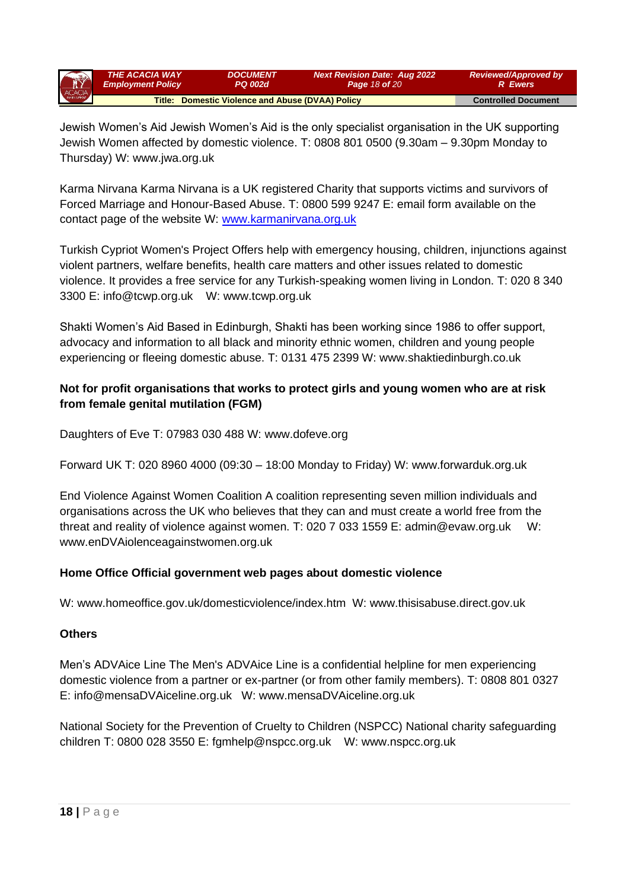| R      | <b>THE ACACIA WAY</b>                            | <i><b>DOCUMENT</b></i> | <b>Next Revision Date: Aug 2022</b> | <b>Reviewed/Approved by</b> |
|--------|--------------------------------------------------|------------------------|-------------------------------------|-----------------------------|
|        | <b>Employment Policy</b>                         | <b>PQ 002d</b>         | <b>Page 18 of 20</b>                | R Ewers                     |
| ACACIA | Title: Domestic Violence and Abuse (DVAA) Policy |                        |                                     | <b>Controlled Document</b>  |

Jewish Women's Aid Jewish Women's Aid is the only specialist organisation in the UK supporting Jewish Women affected by domestic violence. T: 0808 801 0500 (9.30am – 9.30pm Monday to Thursday) W: www.jwa.org.uk

Karma Nirvana Karma Nirvana is a UK registered Charity that supports victims and survivors of Forced Marriage and Honour-Based Abuse. T: 0800 599 9247 E: email form available on the contact page of the website W: [www.karmanirvana.org.uk](http://www.karmanirvana.org.uk/)

Turkish Cypriot Women's Project Offers help with emergency housing, children, injunctions against violent partners, welfare benefits, health care matters and other issues related to domestic violence. It provides a free service for any Turkish-speaking women living in London. T: 020 8 340 3300 E: info@tcwp.org.uk W: www.tcwp.org.uk

Shakti Women's Aid Based in Edinburgh, Shakti has been working since 1986 to offer support, advocacy and information to all black and minority ethnic women, children and young people experiencing or fleeing domestic abuse. T: 0131 475 2399 W: www.shaktiedinburgh.co.uk

## **Not for profit organisations that works to protect girls and young women who are at risk from female genital mutilation (FGM)**

Daughters of Eve T: 07983 030 488 W: www.dofeve.org

Forward UK T: 020 8960 4000 (09:30 – 18:00 Monday to Friday) W: www.forwarduk.org.uk

End Violence Against Women Coalition A coalition representing seven million individuals and organisations across the UK who believes that they can and must create a world free from the threat and reality of violence against women. T: 020 7 033 1559 E: admin@evaw.org.uk W: www.enDVAiolenceagainstwomen.org.uk

## **Home Office Official government web pages about domestic violence**

W: www.homeoffice.gov.uk/domesticviolence/index.htm W: www.thisisabuse.direct.gov.uk

#### **Others**

Men's ADVAice Line The Men's ADVAice Line is a confidential helpline for men experiencing domestic violence from a partner or ex-partner (or from other family members). T: 0808 801 0327 E: info@mensaDVAiceline.org.uk W: www.mensaDVAiceline.org.uk

National Society for the Prevention of Cruelty to Children (NSPCC) National charity safeguarding children T: 0800 028 3550 E: fgmhelp@nspcc.org.uk W: www.nspcc.org.uk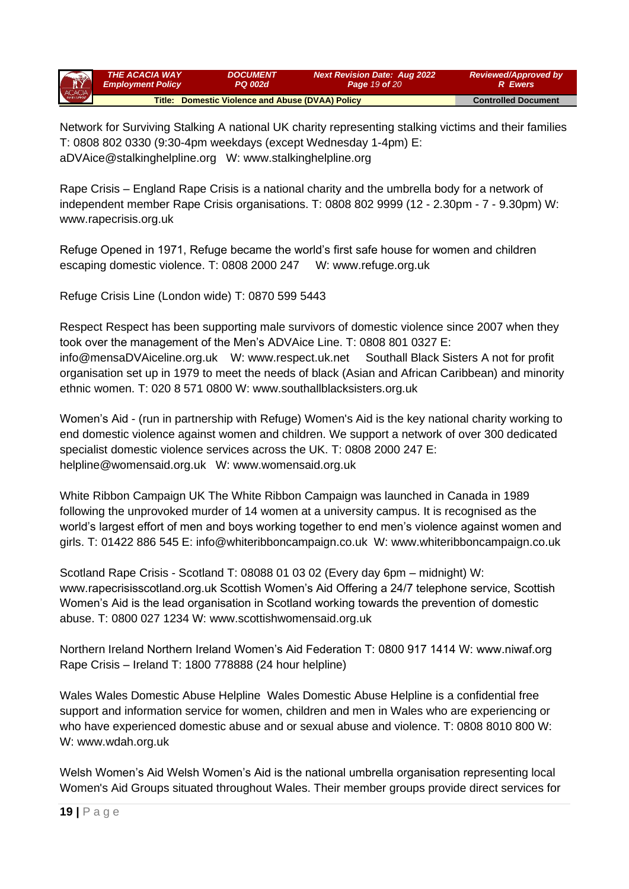| R      | <b>THE ACACIA WAY</b>                            | <b>DOCUMENT</b>            | <b>Next Revision Date: Aug 2022</b> | <b>Reviewed/Approved by</b> |
|--------|--------------------------------------------------|----------------------------|-------------------------------------|-----------------------------|
|        | <b>Employment Policy</b>                         | <b>PQ 002d</b>             | <b>Page 19 of 20</b>                | 'R Ewers i                  |
| ACACIA | Title: Domestic Violence and Abuse (DVAA) Policy | <b>Controlled Document</b> |                                     |                             |

Network for Surviving Stalking A national UK charity representing stalking victims and their families T: 0808 802 0330 (9:30-4pm weekdays (except Wednesday 1-4pm) E: aDVAice@stalkinghelpline.org W: www.stalkinghelpline.org

Rape Crisis – England Rape Crisis is a national charity and the umbrella body for a network of independent member Rape Crisis organisations. T: 0808 802 9999 (12 - 2.30pm - 7 - 9.30pm) W: www.rapecrisis.org.uk

Refuge Opened in 1971, Refuge became the world's first safe house for women and children escaping domestic violence. T: 0808 2000 247 W: www.refuge.org.uk

Refuge Crisis Line (London wide) T: 0870 599 5443

Respect Respect has been supporting male survivors of domestic violence since 2007 when they took over the management of the Men's ADVAice Line. T: 0808 801 0327 E: info@mensaDVAiceline.org.uk W: www.respect.uk.net Southall Black Sisters A not for profit organisation set up in 1979 to meet the needs of black (Asian and African Caribbean) and minority ethnic women. T: 020 8 571 0800 W: www.southallblacksisters.org.uk

Women's Aid - (run in partnership with Refuge) Women's Aid is the key national charity working to end domestic violence against women and children. We support a network of over 300 dedicated specialist domestic violence services across the UK. T: 0808 2000 247 E: helpline@womensaid.org.uk W: www.womensaid.org.uk

White Ribbon Campaign UK The White Ribbon Campaign was launched in Canada in 1989 following the unprovoked murder of 14 women at a university campus. It is recognised as the world's largest effort of men and boys working together to end men's violence against women and girls. T: 01422 886 545 E: info@whiteribboncampaign.co.uk W: www.whiteribboncampaign.co.uk

Scotland Rape Crisis - Scotland T: 08088 01 03 02 (Every day 6pm – midnight) W: www.rapecrisisscotland.org.uk Scottish Women's Aid Offering a 24/7 telephone service, Scottish Women's Aid is the lead organisation in Scotland working towards the prevention of domestic abuse. T: 0800 027 1234 W: www.scottishwomensaid.org.uk

Northern Ireland Northern Ireland Women's Aid Federation T: 0800 917 1414 W: www.niwaf.org Rape Crisis – Ireland T: 1800 778888 (24 hour helpline)

Wales Wales Domestic Abuse Helpline Wales Domestic Abuse Helpline is a confidential free support and information service for women, children and men in Wales who are experiencing or who have experienced domestic abuse and or sexual abuse and violence. T: 0808 8010 800 W: W: www.wdah.org.uk

Welsh Women's Aid Welsh Women's Aid is the national umbrella organisation representing local Women's Aid Groups situated throughout Wales. Their member groups provide direct services for